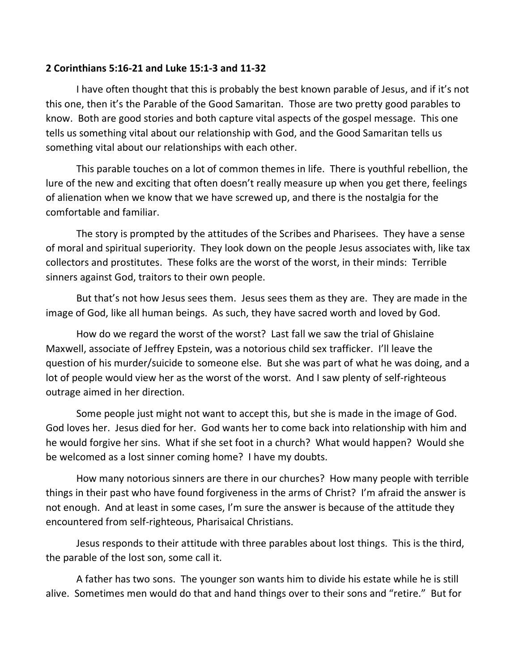## **2 Corinthians 5:16-21 and Luke 15:1-3 and 11-32**

I have often thought that this is probably the best known parable of Jesus, and if it's not this one, then it's the Parable of the Good Samaritan. Those are two pretty good parables to know. Both are good stories and both capture vital aspects of the gospel message. This one tells us something vital about our relationship with God, and the Good Samaritan tells us something vital about our relationships with each other.

This parable touches on a lot of common themes in life. There is youthful rebellion, the lure of the new and exciting that often doesn't really measure up when you get there, feelings of alienation when we know that we have screwed up, and there is the nostalgia for the comfortable and familiar.

The story is prompted by the attitudes of the Scribes and Pharisees. They have a sense of moral and spiritual superiority. They look down on the people Jesus associates with, like tax collectors and prostitutes. These folks are the worst of the worst, in their minds: Terrible sinners against God, traitors to their own people.

But that's not how Jesus sees them. Jesus sees them as they are. They are made in the image of God, like all human beings. As such, they have sacred worth and loved by God.

How do we regard the worst of the worst? Last fall we saw the trial of Ghislaine Maxwell, associate of Jeffrey Epstein, was a notorious child sex trafficker. I'll leave the question of his murder/suicide to someone else. But she was part of what he was doing, and a lot of people would view her as the worst of the worst. And I saw plenty of self-righteous outrage aimed in her direction.

Some people just might not want to accept this, but she is made in the image of God. God loves her. Jesus died for her. God wants her to come back into relationship with him and he would forgive her sins. What if she set foot in a church? What would happen? Would she be welcomed as a lost sinner coming home? I have my doubts.

How many notorious sinners are there in our churches? How many people with terrible things in their past who have found forgiveness in the arms of Christ? I'm afraid the answer is not enough. And at least in some cases, I'm sure the answer is because of the attitude they encountered from self-righteous, Pharisaical Christians.

Jesus responds to their attitude with three parables about lost things. This is the third, the parable of the lost son, some call it.

A father has two sons. The younger son wants him to divide his estate while he is still alive. Sometimes men would do that and hand things over to their sons and "retire." But for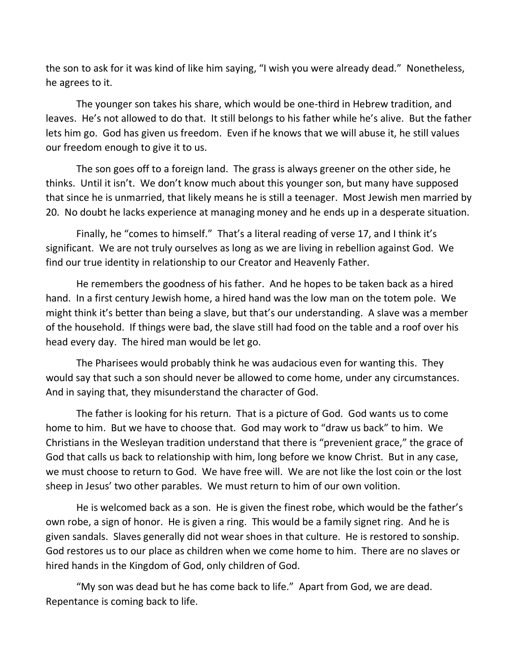the son to ask for it was kind of like him saying, "I wish you were already dead." Nonetheless, he agrees to it.

The younger son takes his share, which would be one-third in Hebrew tradition, and leaves. He's not allowed to do that. It still belongs to his father while he's alive. But the father lets him go. God has given us freedom. Even if he knows that we will abuse it, he still values our freedom enough to give it to us.

The son goes off to a foreign land. The grass is always greener on the other side, he thinks. Until it isn't. We don't know much about this younger son, but many have supposed that since he is unmarried, that likely means he is still a teenager. Most Jewish men married by 20. No doubt he lacks experience at managing money and he ends up in a desperate situation.

Finally, he "comes to himself." That's a literal reading of verse 17, and I think it's significant. We are not truly ourselves as long as we are living in rebellion against God. We find our true identity in relationship to our Creator and Heavenly Father.

He remembers the goodness of his father. And he hopes to be taken back as a hired hand. In a first century Jewish home, a hired hand was the low man on the totem pole. We might think it's better than being a slave, but that's our understanding. A slave was a member of the household. If things were bad, the slave still had food on the table and a roof over his head every day. The hired man would be let go.

The Pharisees would probably think he was audacious even for wanting this. They would say that such a son should never be allowed to come home, under any circumstances. And in saying that, they misunderstand the character of God.

The father is looking for his return. That is a picture of God. God wants us to come home to him. But we have to choose that. God may work to "draw us back" to him. We Christians in the Wesleyan tradition understand that there is "prevenient grace," the grace of God that calls us back to relationship with him, long before we know Christ. But in any case, we must choose to return to God. We have free will. We are not like the lost coin or the lost sheep in Jesus' two other parables. We must return to him of our own volition.

He is welcomed back as a son. He is given the finest robe, which would be the father's own robe, a sign of honor. He is given a ring. This would be a family signet ring. And he is given sandals. Slaves generally did not wear shoes in that culture. He is restored to sonship. God restores us to our place as children when we come home to him. There are no slaves or hired hands in the Kingdom of God, only children of God.

"My son was dead but he has come back to life." Apart from God, we are dead. Repentance is coming back to life.